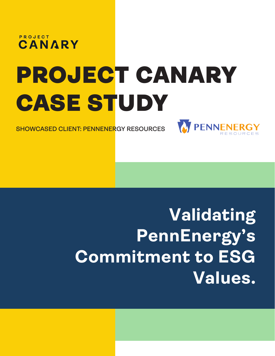

## PROJECT CANARY CASE STUDY

**SHOWCASED CLIENT: PENNENERGY RESOURCES**



### **Validating PennEnergy's Commitment to ESG Values.**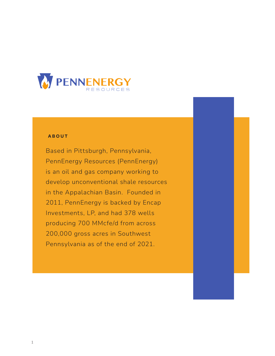

### **ABOUT**

Based in Pittsburgh, Pennsylvania, PennEnergy Resources (PennEnergy) is an oil and gas company working to develop unconventional shale resources in the Appalachian Basin. Founded in 2011, PennEnergy is backed by Encap Investments, LP, and had 378 wells producing 700 MMcfe/d from across 200,000 gross acres in Southwest Pennsylvania as of the end of 2021.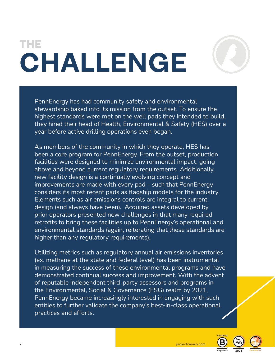### **THE CHALLENGE**



PennEnergy has had community safety and environmental stewardship baked into its mission from the outset. To ensure the highest standards were met on the well pads they intended to build, they hired their head of Health, Environmental & Safety (HES) over a year before active drilling operations even began.

As members of the community in which they operate, HES has been a core program for PennEnergy. From the outset, production facilities were designed to minimize environmental impact, going above and beyond current regulatory requirements. Additionally, new facility design is a continually evolving concept and improvements are made with every pad – such that PennEnergy considers its most recent pads as flagship models for the industry. Elements such as air emissions controls are integral to current design (and always have been). Acquired assets developed by prior operators presented new challenges in that many required retrofits to bring these facilities up to PennEnergy's operational and environmental standards (again, reiterating that these standards are higher than any regulatory requirements).

Utilizing metrics such as regulatory annual air emissions inventories (ex. methane at the state and federal level) has been instrumental in measuring the success of these environmental programs and have demonstrated continual success and improvement. With the advent of reputable independent third-party assessors and programs in the Environmental, Social & Governance (ESG) realm by 2021, PennEnergy became increasingly interested in engaging with such entities to further validate the company's best-in-class operational practices and efforts.



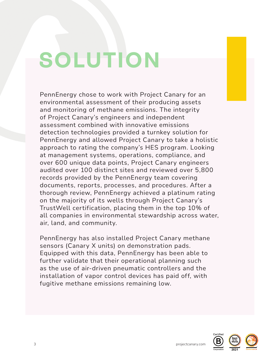## **SOLUTION**

PennEnergy chose to work with Project Canary for an environmental assessment of their producing assets and monitoring of methane emissions. The integrity of Project Canary's engineers and independent assessment combined with innovative emissions detection technologies provided a turnkey solution for PennEnergy and allowed Project Canary to take a holistic approach to rating the company's HES program. Looking at management systems, operations, compliance, and over 600 unique data points, Project Canary engineers audited over 100 distinct sites and reviewed over 5,800 records provided by the PennEnergy team covering documents, reports, processes, and procedures. After a thorough review, PennEnergy achieved a platinum rating on the majority of its wells through Project Canary's TrustWell certification, placing them in the top 10% of all companies in environmental stewardship across water, air, land, and community.

PennEnergy has also installed Project Canary methane sensors (Canary X units) on demonstration pads. Equipped with this data, PennEnergy has been able to further validate that their operational planning such as the use of air-driven pneumatic controllers and the installation of vapor control devices has paid off, with fugitive methane emissions remaining low.



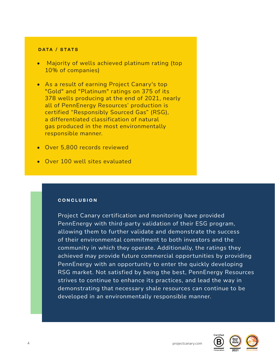### **DATA / STATS**

- Majority of wells achieved platinum rating (top 10% of companies)
- As a result of earning Project Canary's top "Gold" and "Platinum" ratings on 375 of its 378 wells producing at the end of 2021, nearly all of PennEnergy Resources' production is certified "Responsibly Sourced Gas" (RSG), a differentiated classification of natural gas produced in the most environmentally responsible manner.
- Over 5,800 records reviewed
- Over 100 well sites evaluated

### **CONCLUSION**

Project Canary certification and monitoring have provided PennEnergy with third-party validation of their ESG program, allowing them to further validate and demonstrate the success of their environmental commitment to both investors and the community in which they operate. Additionally, the ratings they achieved may provide future commercial opportunities by providing PennEnergy with an opportunity to enter the quickly developing RSG market. Not satisfied by being the best, PennEnergy Resources strives to continue to enhance its practices, and lead the way in demonstrating that necessary shale resources can continue to be developed in an environmentally responsible manner.